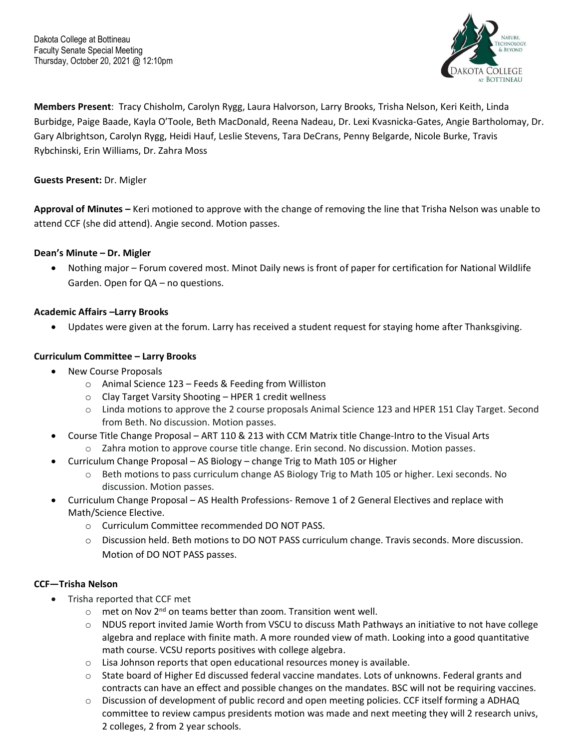

**Members Present**: Tracy Chisholm, Carolyn Rygg, Laura Halvorson, Larry Brooks, Trisha Nelson, Keri Keith, Linda Burbidge, Paige Baade, Kayla O'Toole, Beth MacDonald, Reena Nadeau, Dr. Lexi Kvasnicka-Gates, Angie Bartholomay, Dr. Gary Albrightson, Carolyn Rygg, Heidi Hauf, Leslie Stevens, Tara DeCrans, Penny Belgarde, Nicole Burke, Travis Rybchinski, Erin Williams, Dr. Zahra Moss

## **Guests Present:** Dr. Migler

**Approval of Minutes –** Keri motioned to approve with the change of removing the line that Trisha Nelson was unable to attend CCF (she did attend). Angie second. Motion passes.

### **Dean's Minute – Dr. Migler**

• Nothing major – Forum covered most. Minot Daily news is front of paper for certification for National Wildlife Garden. Open for QA – no questions.

#### **Academic Affairs –Larry Brooks**

• Updates were given at the forum. Larry has received a student request for staying home after Thanksgiving.

### **Curriculum Committee – Larry Brooks**

- New Course Proposals
	- o Animal Science 123 Feeds & Feeding from Williston
	- $\circ$  Clay Target Varsity Shooting HPER 1 credit wellness
	- o Linda motions to approve the 2 course proposals Animal Science 123 and HPER 151 Clay Target. Second from Beth. No discussion. Motion passes.
- Course Title Change Proposal ART 110 & 213 with CCM Matrix title Change-Intro to the Visual Arts
	- o Zahra motion to approve course title change. Erin second. No discussion. Motion passes.
- Curriculum Change Proposal AS Biology change Trig to Math 105 or Higher
	- $\circ$  Beth motions to pass curriculum change AS Biology Trig to Math 105 or higher. Lexi seconds. No discussion. Motion passes.
- Curriculum Change Proposal AS Health Professions- Remove 1 of 2 General Electives and replace with Math/Science Elective.
	- o Curriculum Committee recommended DO NOT PASS.
	- o Discussion held. Beth motions to DO NOT PASS curriculum change. Travis seconds. More discussion. Motion of DO NOT PASS passes.

#### **CCF—Trisha Nelson**

- Trisha reported that CCF met
	- $\circ$  met on Nov 2<sup>nd</sup> on teams better than zoom. Transition went well.
	- $\circ$  NDUS report invited Jamie Worth from VSCU to discuss Math Pathways an initiative to not have college algebra and replace with finite math. A more rounded view of math. Looking into a good quantitative math course. VCSU reports positives with college algebra.
	- o Lisa Johnson reports that open educational resources money is available.
	- o State board of Higher Ed discussed federal vaccine mandates. Lots of unknowns. Federal grants and contracts can have an effect and possible changes on the mandates. BSC will not be requiring vaccines.
	- o Discussion of development of public record and open meeting policies. CCF itself forming a ADHAQ committee to review campus presidents motion was made and next meeting they will 2 research univs, 2 colleges, 2 from 2 year schools.